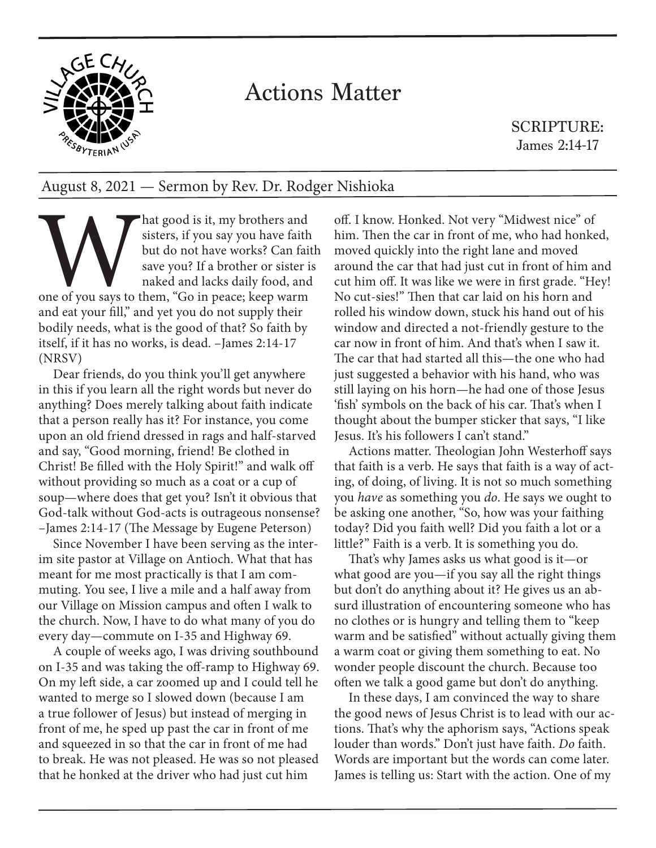

## Actions Matter

SCRIPTURE: James 2:14-17

## August 8, 2021 — Sermon by Rev. Dr. Rodger Nishioka

hat good is it, my brothers and<br>sisters, if you say you have faith<br>but do not have works? Can fait<br>save you? If a brother or sister is<br>naked and lacks daily food, and<br>one of you says to them, "Go in peace; keep warm<br>and ea sisters, if you say you have faith but do not have works? Can faith save you? If a brother or sister is naked and lacks daily food, and one of you says to them, "Go in peace; keep warm and eat your fill," and yet you do not supply their bodily needs, what is the good of that? So faith by itself, if it has no works, is dead. –James 2:14-17 (NRSV)

Dear friends, do you think you'll get anywhere in this if you learn all the right words but never do anything? Does merely talking about faith indicate that a person really has it? For instance, you come upon an old friend dressed in rags and half-starved and say, "Good morning, friend! Be clothed in Christ! Be filled with the Holy Spirit!" and walk off without providing so much as a coat or a cup of soup—where does that get you? Isn't it obvious that God-talk without God-acts is outrageous nonsense? –James 2:14-17 (The Message by Eugene Peterson)

Since November I have been serving as the interim site pastor at Village on Antioch. What that has meant for me most practically is that I am commuting. You see, I live a mile and a half away from our Village on Mission campus and often I walk to the church. Now, I have to do what many of you do every day—commute on I-35 and Highway 69.

A couple of weeks ago, I was driving southbound on I-35 and was taking the off-ramp to Highway 69. On my left side, a car zoomed up and I could tell he wanted to merge so I slowed down (because I am a true follower of Jesus) but instead of merging in front of me, he sped up past the car in front of me and squeezed in so that the car in front of me had to break. He was not pleased. He was so not pleased that he honked at the driver who had just cut him

off. I know. Honked. Not very "Midwest nice" of him. Then the car in front of me, who had honked, moved quickly into the right lane and moved around the car that had just cut in front of him and cut him off. It was like we were in first grade. "Hey! No cut-sies!" Then that car laid on his horn and rolled his window down, stuck his hand out of his window and directed a not-friendly gesture to the car now in front of him. And that's when I saw it. The car that had started all this—the one who had just suggested a behavior with his hand, who was still laying on his horn—he had one of those Jesus 'fish' symbols on the back of his car. That's when I thought about the bumper sticker that says, "I like Jesus. It's his followers I can't stand."

Actions matter. Theologian John Westerhoff says that faith is a verb. He says that faith is a way of acting, of doing, of living. It is not so much something you *have* as something you *do*. He says we ought to be asking one another, "So, how was your faithing today? Did you faith well? Did you faith a lot or a little?" Faith is a verb. It is something you do.

That's why James asks us what good is it—or what good are you—if you say all the right things but don't do anything about it? He gives us an absurd illustration of encountering someone who has no clothes or is hungry and telling them to "keep warm and be satisfied" without actually giving them a warm coat or giving them something to eat. No wonder people discount the church. Because too often we talk a good game but don't do anything.

In these days, I am convinced the way to share the good news of Jesus Christ is to lead with our actions. That's why the aphorism says, "Actions speak louder than words." Don't just have faith. *Do* faith. Words are important but the words can come later. James is telling us: Start with the action. One of my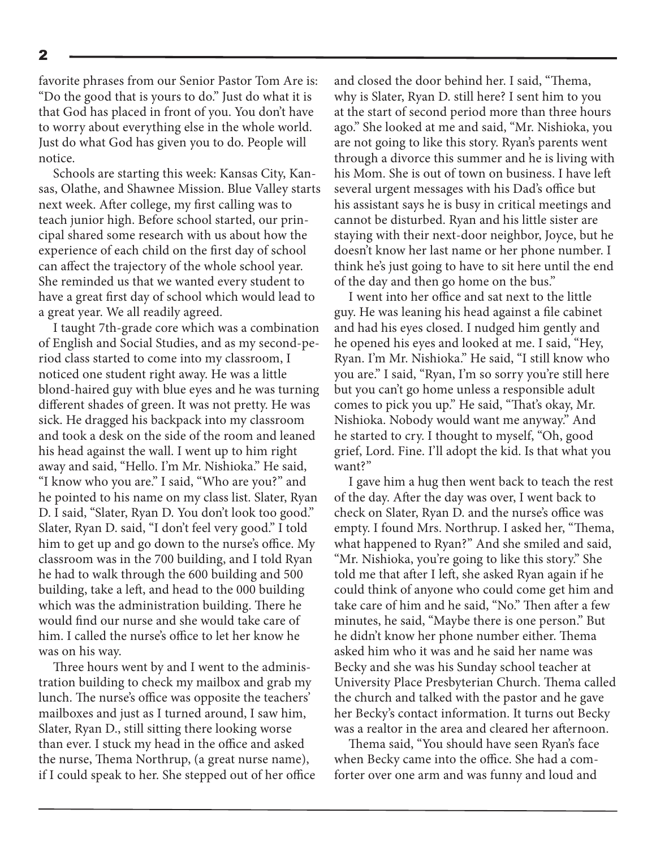favorite phrases from our Senior Pastor Tom Are is: "Do the good that is yours to do." Just do what it is that God has placed in front of you. You don't have to worry about everything else in the whole world. Just do what God has given you to do. People will notice.

Schools are starting this week: Kansas City, Kansas, Olathe, and Shawnee Mission. Blue Valley starts next week. After college, my first calling was to teach junior high. Before school started, our principal shared some research with us about how the experience of each child on the first day of school can affect the trajectory of the whole school year. She reminded us that we wanted every student to have a great first day of school which would lead to a great year. We all readily agreed.

I taught 7th-grade core which was a combination of English and Social Studies, and as my second-period class started to come into my classroom, I noticed one student right away. He was a little blond-haired guy with blue eyes and he was turning different shades of green. It was not pretty. He was sick. He dragged his backpack into my classroom and took a desk on the side of the room and leaned his head against the wall. I went up to him right away and said, "Hello. I'm Mr. Nishioka." He said, "I know who you are." I said, "Who are you?" and he pointed to his name on my class list. Slater, Ryan D. I said, "Slater, Ryan D. You don't look too good." Slater, Ryan D. said, "I don't feel very good." I told him to get up and go down to the nurse's office. My classroom was in the 700 building, and I told Ryan he had to walk through the 600 building and 500 building, take a left, and head to the 000 building which was the administration building. There he would find our nurse and she would take care of him. I called the nurse's office to let her know he was on his way.

Three hours went by and I went to the administration building to check my mailbox and grab my lunch. The nurse's office was opposite the teachers' mailboxes and just as I turned around, I saw him, Slater, Ryan D., still sitting there looking worse than ever. I stuck my head in the office and asked the nurse, Thema Northrup, (a great nurse name), if I could speak to her. She stepped out of her office and closed the door behind her. I said, "Thema, why is Slater, Ryan D. still here? I sent him to you at the start of second period more than three hours ago." She looked at me and said, "Mr. Nishioka, you are not going to like this story. Ryan's parents went through a divorce this summer and he is living with his Mom. She is out of town on business. I have left several urgent messages with his Dad's office but his assistant says he is busy in critical meetings and cannot be disturbed. Ryan and his little sister are staying with their next-door neighbor, Joyce, but he doesn't know her last name or her phone number. I think he's just going to have to sit here until the end of the day and then go home on the bus."

I went into her office and sat next to the little guy. He was leaning his head against a file cabinet and had his eyes closed. I nudged him gently and he opened his eyes and looked at me. I said, "Hey, Ryan. I'm Mr. Nishioka." He said, "I still know who you are." I said, "Ryan, I'm so sorry you're still here but you can't go home unless a responsible adult comes to pick you up." He said, "That's okay, Mr. Nishioka. Nobody would want me anyway." And he started to cry. I thought to myself, "Oh, good grief, Lord. Fine. I'll adopt the kid. Is that what you want?"

I gave him a hug then went back to teach the rest of the day. After the day was over, I went back to check on Slater, Ryan D. and the nurse's office was empty. I found Mrs. Northrup. I asked her, "Thema, what happened to Ryan?" And she smiled and said, "Mr. Nishioka, you're going to like this story." She told me that after I left, she asked Ryan again if he could think of anyone who could come get him and take care of him and he said, "No." Then after a few minutes, he said, "Maybe there is one person." But he didn't know her phone number either. Thema asked him who it was and he said her name was Becky and she was his Sunday school teacher at University Place Presbyterian Church. Thema called the church and talked with the pastor and he gave her Becky's contact information. It turns out Becky was a realtor in the area and cleared her afternoon.

Thema said, "You should have seen Ryan's face when Becky came into the office. She had a comforter over one arm and was funny and loud and